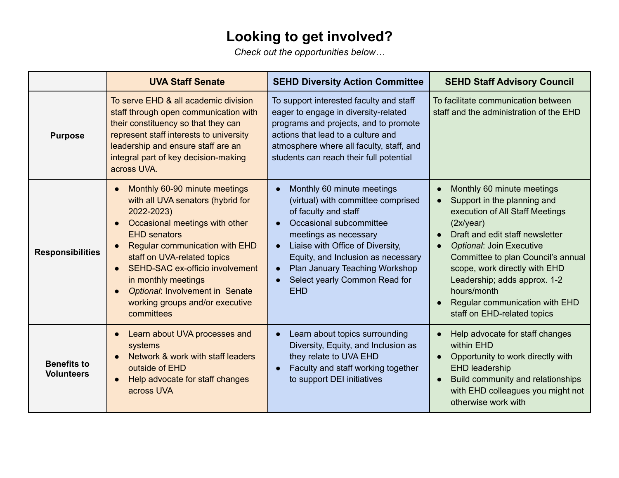## **Looking to get involved?**

*Check out the opportunities below…*

|                                         | <b>UVA Staff Senate</b>                                                                                                                                                                                                                                                                                                                                                                   | <b>SEHD Diversity Action Committee</b>                                                                                                                                                                                                                                                                               | <b>SEHD Staff Advisory Council</b>                                                                                                                                                                                                                                                                                                                                                         |
|-----------------------------------------|-------------------------------------------------------------------------------------------------------------------------------------------------------------------------------------------------------------------------------------------------------------------------------------------------------------------------------------------------------------------------------------------|----------------------------------------------------------------------------------------------------------------------------------------------------------------------------------------------------------------------------------------------------------------------------------------------------------------------|--------------------------------------------------------------------------------------------------------------------------------------------------------------------------------------------------------------------------------------------------------------------------------------------------------------------------------------------------------------------------------------------|
| <b>Purpose</b>                          | To serve EHD & all academic division<br>staff through open communication with<br>their constituency so that they can<br>represent staff interests to university<br>leadership and ensure staff are an<br>integral part of key decision-making<br>across UVA.                                                                                                                              | To support interested faculty and staff<br>eager to engage in diversity-related<br>programs and projects, and to promote<br>actions that lead to a culture and<br>atmosphere where all faculty, staff, and<br>students can reach their full potential                                                                | To facilitate communication between<br>staff and the administration of the EHD                                                                                                                                                                                                                                                                                                             |
| <b>Responsibilities</b>                 | Monthly 60-90 minute meetings<br>with all UVA senators (hybrid for<br>2022-2023)<br>Occasional meetings with other<br>$\bullet$<br><b>EHD</b> senators<br><b>Regular communication with EHD</b><br>staff on UVA-related topics<br>SEHD-SAC ex-officio involvement<br>$\bullet$<br>in monthly meetings<br>Optional: Involvement in Senate<br>working groups and/or executive<br>committees | Monthly 60 minute meetings<br>(virtual) with committee comprised<br>of faculty and staff<br>Occasional subcommittee<br>meetings as necessary<br>Liaise with Office of Diversity,<br>$\bullet$<br>Equity, and Inclusion as necessary<br>Plan January Teaching Workshop<br>Select yearly Common Read for<br><b>EHD</b> | Monthly 60 minute meetings<br>$\epsilon$<br>Support in the planning and<br>execution of All Staff Meetings<br>(2x/year)<br>Draft and edit staff newsletter<br>Optional: Join Executive<br>$\bullet$<br>Committee to plan Council's annual<br>scope, work directly with EHD<br>Leadership; adds approx. 1-2<br>hours/month<br>Regular communication with EHD<br>staff on EHD-related topics |
| <b>Benefits to</b><br><b>Volunteers</b> | Learn about UVA processes and<br>systems<br>Network & work with staff leaders<br>outside of EHD<br>Help advocate for staff changes<br>across UVA                                                                                                                                                                                                                                          | Learn about topics surrounding<br>$\bullet$<br>Diversity, Equity, and Inclusion as<br>they relate to UVA EHD<br>Faculty and staff working together<br>to support DEI initiatives                                                                                                                                     | Help advocate for staff changes<br>within EHD<br>Opportunity to work directly with<br>$\bullet$<br>EHD leadership<br>Build community and relationships<br>$\bullet$<br>with EHD colleagues you might not<br>otherwise work with                                                                                                                                                            |